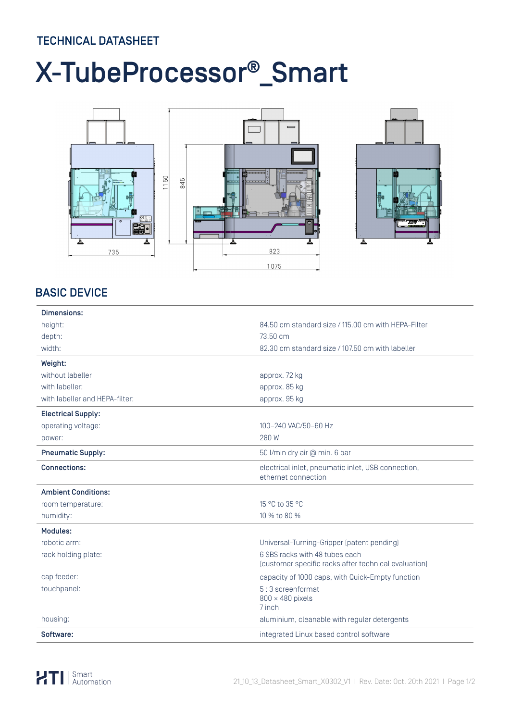## TECHNICAL DATASHEET

# X-TubeProcessor®\_Smart



### BASIC DEVICE

| Dimensions:                    |                                                                                        |  |  |
|--------------------------------|----------------------------------------------------------------------------------------|--|--|
| height:                        | 84.50 cm standard size / 115.00 cm with HEPA-Filter                                    |  |  |
| depth:                         | 73.50 cm                                                                               |  |  |
| width:                         | 82.30 cm standard size / 107.50 cm with labeller                                       |  |  |
| Weight:                        |                                                                                        |  |  |
| without labeller               | approx. 72 kg                                                                          |  |  |
| with labeller:                 | approx. 85 kg                                                                          |  |  |
| with labeller and HEPA-filter: | approx. 95 kg                                                                          |  |  |
| <b>Electrical Supply:</b>      |                                                                                        |  |  |
| operating voltage:             | 100-240 VAC/50-60 Hz                                                                   |  |  |
| power:                         | 280W                                                                                   |  |  |
| <b>Pneumatic Supply:</b>       | 50 l/min dry air @ min. 6 bar                                                          |  |  |
| <b>Connections:</b>            | electrical inlet, pneumatic inlet, USB connection,<br>ethernet connection              |  |  |
| <b>Ambient Conditions:</b>     |                                                                                        |  |  |
| room temperature:              | 15 °C to 35 °C                                                                         |  |  |
| humidity:                      | 10 % to 80 %                                                                           |  |  |
| Modules:                       |                                                                                        |  |  |
| robotic arm:                   | Universal-Turning-Gripper (patent pending)                                             |  |  |
| rack holding plate:            | 6 SBS racks with 48 tubes each<br>(customer specific racks after technical evaluation) |  |  |
| cap feeder:                    | capacity of 1000 caps, with Quick-Empty function                                       |  |  |
| touchpanel:                    | 5:3 screenformat<br>$800 \times 480$ pixels<br>7 inch                                  |  |  |
| housing:                       | aluminium, cleanable with regular detergents                                           |  |  |
| Software:                      | integrated Linux based control software                                                |  |  |